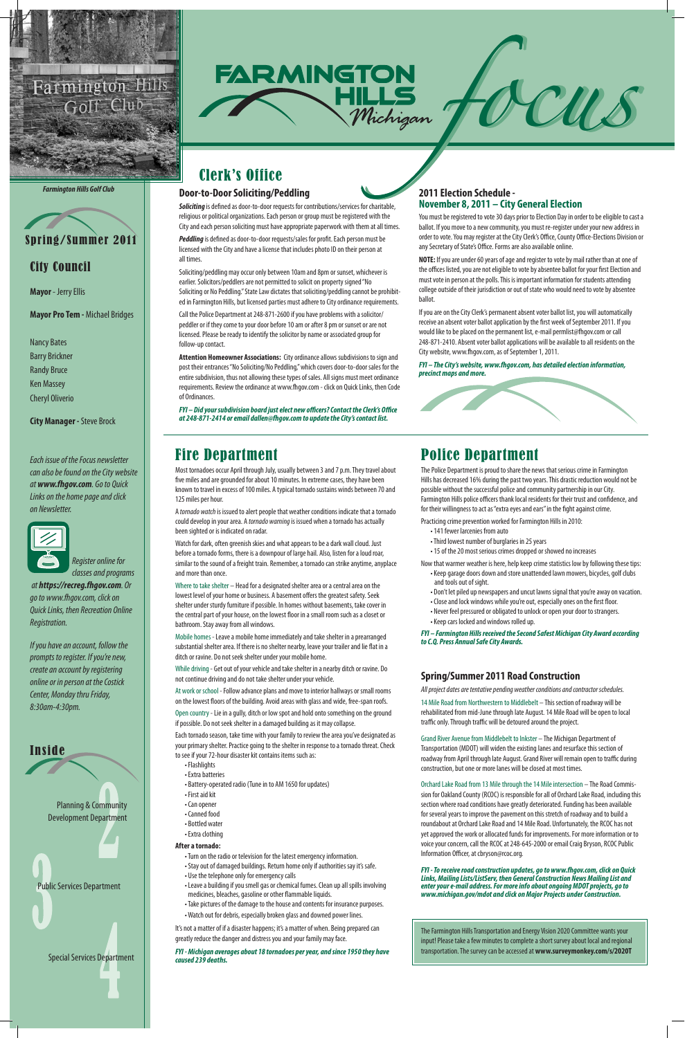

### City Council

**Mayor** - Jerry Ellis

**Mayor Pro Tem -** Michael Bridges

Nancy Bates Barry Brickner Randy Bruce Ken Massey Cheryl Oliverio

**City Manager -** Steve Brock

*Each issue of the Focus newsletter can also be found on the City website at www.fhgov.com. Go to Quick Links on the home page and click on Newsletter.*



 *Register online for classes and programs* 

 *at https://recreg.fhgov.com. Or go to www.fhgov.com, click on Quick Links, then Recreation Online Registration.*

*If you have an account, follow the prompts to register. If you're new, create an account by registering online or in person at the Costick Center, Monday thru Friday, 8:30am-4:30pm.*



### Fire Department

Most tornadoes occur April through July, usually between 3 and 7 p.m. They travel about five miles and are grounded for about 10 minutes. In extreme cases, they have been known to travel in excess of 100 miles. A typical tornado sustains winds between 70 and 125 miles per hour.

A *tornado watch* is issued to alert people that weather conditions indicate that a tornado could develop in your area. A *tornado warning* is issued when a tornado has actually been sighted or is indicated on radar.

Watch for dark, often greenish skies and what appears to be a dark wall cloud. Just before a tornado forms, there is a downpour of large hail. Also, listen for a loud roar, similar to the sound of a freight train. Remember, a tornado can strike anytime, anyplace and more than once.

Where to take shelter – Head for a designated shelter area or a central area on the lowest level of your home or business. A basement offers the greatest safety. Seek shelter under sturdy furniture if possible. In homes without basements, take cover in the central part of your house, on the lowest floor in a small room such as a closet or bathroom. Stay away from all windows.

Mobile homes - Leave a mobile home immediately and take shelter in a prearranged substantial shelter area. If there is no shelter nearby, leave your trailer and lie flat in a ditch or ravine. Do not seek shelter under your mobile home.

While driving - Get out of your vehicle and take shelter in a nearby ditch or ravine. Do not continue driving and do not take shelter under your vehicle.

Inside Planning & Community Development Department Public Services Department

At work or school - Follow advance plans and move to interior hallways or small rooms on the lowest floors of the building. Avoid areas with glass and wide, free-span roofs.

Open country - Lie in a gully, ditch or low spot and hold onto something on the ground if possible. Do not seek shelter in a damaged building as it may collapse.

Each tornado season, take time with your family to review the area you've designated as your primary shelter. Practice going to the shelter in response to a tornado threat. Check

to see if your 72-hour disaster kit contains items such as:

- Flashlights
- Extra batteries
- Battery-operated radio (Tune in to AM 1650 for updates)
- First aid kit
- Can opener
- Canned food
- Bottled water
- Extra clothing

#### **After a tornado:**

- Turn on the radio or television for the latest emergency information.
- Stay out of damaged buildings. Return home only if authorities say it's safe.
- Use the telephone only for emergency calls
- Leave a building if you smell gas or chemical fumes. Clean up all spills involving medicines, bleaches, gasoline or other flammable liquids.
- Take pictures of the damage to the house and contents for insurance purposes.
- Watch out for debris, especially broken glass and downed power lines.

**Soliciting** is defined as door-to-door requests for contributions/services for charitable, religious or political organizations. Each person or group must be registered with the City and each person soliciting must have appropriate paperwork with them at all times.

It's not a matter of if a disaster happens; it's a matter of when. Being prepared can greatly reduce the danger and distress you and your family may face.

#### *FYI - Michigan averages about 18 tornadoes per year, and since 1950 they have caused 239 deaths.*

Special Services Department

### Police Department

The Police Department is proud to share the news that serious crime in Farmington Hills has decreased 16% during the past two years. This drastic reduction would not be possible without the successful police and community partnership in our City. Farmington Hills police officers thank local residents for their trust and confidence, and for their willingness to act as "extra eyes and ears" in the fight against crime.

Practicing crime prevention worked for Farmington Hills in 2010:

- 141 fewer larcenies from auto
- Third lowest number of burglaries in 25 years
- 15 of the 20 most serious crimes dropped or showed no increases

Now that warmer weather is here, help keep crime statistics low by following these tips:

- Keep garage doors down and store unattended lawn mowers, bicycles, golf clubs and tools out of sight.
- Don't let piled up newspapers and uncut lawns signal that you're away on vacation.
- Close and lock windows while you're out, especially ones on the first floor.
- Never feel pressured or obligated to unlock or open your door to strangers. • Keep cars locked and windows rolled up.

*FYI – Farmington Hills received the Second Safest Michigan City Award according to C.Q. Press Annual Safe City Awards.*



## Clerk's Office

#### **2011 Election Schedule - November 8, 2011 – City General Election**

You must be registered to vote 30 days prior to Election Day in order to be eligible to cast a ballot. If you move to a new community, you must re-register under your new address in order to vote. You may register at the City Clerk's Office, County Office-Elections Division or any Secretary of State's Office. Forms are also available online.

**NOTE:** If you are under 60 years of age and register to vote by mail rather than at one of the offices listed, you are not eligible to vote by absentee ballot for your first Election and must vote in person at the polls. This is important information for students attending college outside of their jurisdiction or out of state who would need to vote by absentee ballot.

If you are on the City Clerk's permanent absent voter ballot list, you will automatically receive an absent voter ballot application by the first week of September 2011. If you would like to be placed on the permanent list, e-mail permlist@fhgov.com or call 248-871-2410. Absent voter ballot applications will be available to all residents on the City website, www.fhgov.com, as of September 1, 2011.

*FYI – The City's website, www.fhgov.com, has detailed election information, precinct maps and more.*



#### **Door-to-Door Soliciting/Peddling**

*Peddling* is defined as door-to-door requests/sales for profit. Each person must be licensed with the City and have a license that includes photo ID on their person at all times.

Soliciting/peddling may occur only between 10am and 8pm or sunset, whichever is earlier. Solicitors/peddlers are not permitted to solicit on property signed "No Soliciting or No Peddling." State Law dictates that soliciting/peddling cannot be prohibited in Farmington Hills, but licensed parties must adhere to City ordinance requirements.

Call the Police Department at 248-871-2600 if you have problems with a solicitor/ peddler or if they come to your door before 10 am or after 8 pm or sunset or are not licensed. Please be ready to identify the solicitor by name or associated group for follow-up contact.

**Attention Homeowner Associations:** City ordinance allows subdivisions to sign and post their entrances "No Soliciting/No Peddling," which covers door-to-door sales for the entire subdivision, thus not allowing these types of sales. All signs must meet ordinance requirements. Review the ordinance at www.fhgov.com - click on Quick Links, then Code of Ordinances.

*FYI – Did your subdivision board just elect new officers? Contact the Clerk's Office at 248-871-2414 or email dallen@fhgov.com to update the City's contact list.*

#### **Spring/Summer 2011 Road Construction**

*All project dates are tentative pending weather conditions and contractor schedules.*

14 Mile Road from Northwestern to Middlebelt – This section of roadway will be rehabilitated from mid-June through late August. 14 Mile Road will be open to local traffic only. Through traffic will be detoured around the project.

Grand River Avenue from Middlebelt to Inkster – The Michigan Department of Transportation (MDOT) will widen the existing lanes and resurface this section of

roadway from April through late August. Grand River will remain open to traffic during construction, but one or more lanes will be closed at most times.

Orchard Lake Road from 13 Mile through the 14 Mile intersection – The Road Commission for Oakland County (RCOC) is responsible for all of Orchard Lake Road, including this section where road conditions have greatly deteriorated. Funding has been available for several years to improve the pavement on this stretch of roadway and to build a roundabout at Orchard Lake Road and 14 Mile Road. Unfortunately, the RCOC has not yet approved the work or allocated funds for improvements. For more information or to voice your concern, call the RCOC at 248-645-2000 or email Craig Bryson, RCOC Public Information Officer, at cbryson@rcoc.org.

*FYI - To receive road construction updates, go to www.fhgov.com, click on Quick Links, Mailing Lists/ListServ, then General Construction News Mailing List and enter your e-mail address. For more info about ongoing MDOT projects, go to www.michigan.gov/mdot and click on Major Projects under Construction.* 



#### *Farmington Hills Golf Club*

The Farmington Hills Transportation and Energy Vision 2020 Committee wants your input! Please take a few minutes to complete a short survey about local and regional transportation. The survey can be accessed at **www.surveymonkey.com/s/2020T**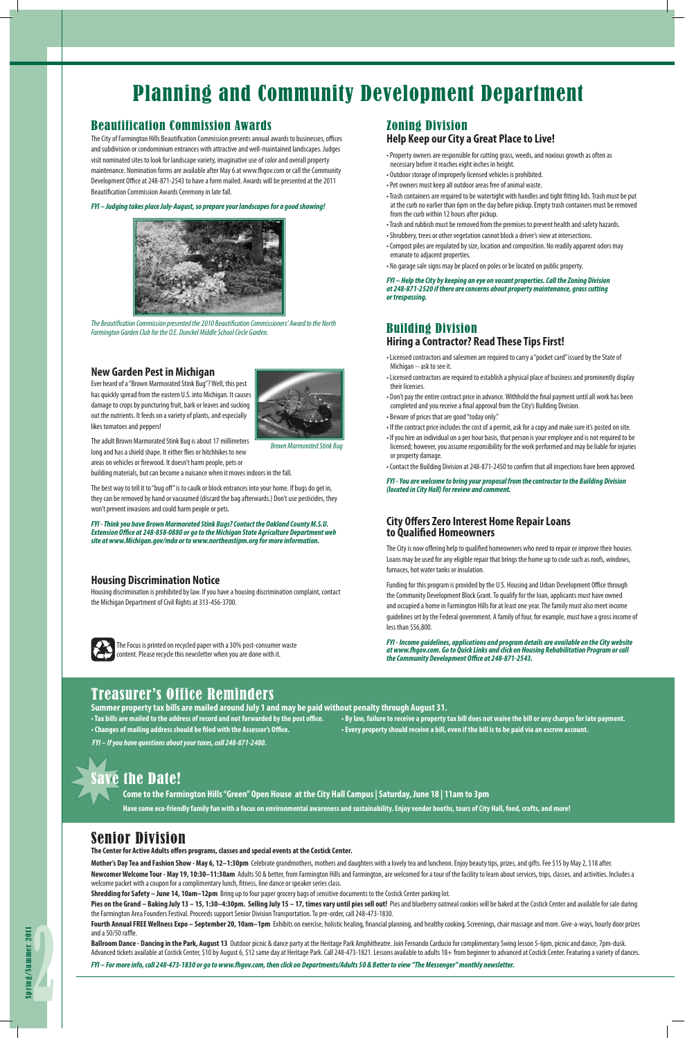#### Beautification Commission Awards

The City of Farmington Hills Beautification Commission presents annual awards to businesses, offices and subdivision or condominium entrances with attractive and well-maintained landscapes. Judges visit nominated sites to look for landscape variety, imaginative use of color and overall property maintenance. Nomination forms are available after May 6 at www.fhgov.com or call the Community Development Office at 248-871-2543 to have a form mailed. Awards will be presented at the 2011 Beautification Commission Awards Ceremony in late fall.

*FYI – Judging takes place July-August, so prepare your landscapes for a good showing!* 

#### Zoning Division **Help Keep our City a Great Place to Live!**

- Property owners are responsible for cutting grass, weeds, and noxious growth as often as necessary before it reaches eight inches in height.
- Outdoor storage of improperly licensed vehicles is prohibited.
- Pet owners must keep all outdoor areas free of animal waste.
- Trash containers are required to be watertight with handles and tight fitting lids. Trash must be put at the curb no earlier than 6pm on the day before pickup. Empty trash containers must be removed from the curb within 12 hours after pickup.
- Trash and rubbish must be removed from the premises to prevent health and safety hazards.
- Shrubbery, trees or other vegetation cannot block a driver's view at intersections.
- Compost piles are regulated by size, location and composition. No readily apparent odors may emanate to adjacent properties.
- No garage sale signs may be placed on poles or be located on public property.

*FYI – Help the City by keeping an eye on vacant properties. Call the Zoning Division at 248-871-2520 if there are concerns about property maintenance, grass cutting or trespassing.* 

## Planning and Community Development Department

#### **Housing Discrimination Notice**

Housing discrimination is prohibited by law. If you have a housing discrimination complaint, contact the Michigan Department of Civil Rights at 313-456-3700.



### Building Division **Hiring a Contractor? Read These Tips First!**

- Licensed contractors and salesmen are required to carry a "pocket card" issued by the State of Michigan -- ask to see it.
- Licensed contractors are required to establish a physical place of business and prominently display their licenses.
- Don't pay the entire contract price in advance. Withhold the final payment until all work has been completed and you receive a final approval from the City's Building Division.
- Beware of prices that are good "today only."
- If the contract price includes the cost of a permit, ask for a copy and make sure it's posted on site.
- If you hire an individual on a per hour basis, that person is your employee and is not required to be licensed; however, you assume responsibility for the work performed and may be liable for injuries or property damage.
- Contact the Building Division at 248-871-2450 to confirm that all inspections have been approved.

**Mother's Day Tea and Fashion Show - May 6, 12–1:30pm** Celebrate grandmothers, mothers and daughters with a lovely tea and luncheon. Enjoy beauty tips, prizes, and gifts. Fee \$15 by May 2, \$18 after. Newcomer Welcome Tour - May 19, 10:30-11:30am Adults 50 & better, from Farmington Hills and Farmington, are welcomed for a tour of the facility to learn about services, trips, classes, and activities. Includes a

*FYI - You are welcome to bring your proposal from the contractor to the Building Division (located in City Hall) for review and comment.*

Pies on the Grand - Baking July 13 - 15, 1:30-4:30pm. Selling July 15 - 17, times vary until pies sell out! Pies and blueberry oatmeal cookies will be baked at the Costick Center and available for sale during the Farmington Area Founders Festival. Proceeds support Senior Division Transportation. To pre-order, call 248-473-1830.



*The Beautification Commission presented the 2010 Beautification Commissioners' Award to the North Farmington Garden Club for the O.E. Dunckel Middle School Circle Garden.*

Fourth Annual FREE Wellness Expo - September 20, 10am-1pm Exhibits on exercise, holistic healing, financial planning, and healthy cooking. Screenings, chair massage and more. Give-a-ways, hourly door prizes and a 50/50 raffle.

Ballroom Dance - Dancing in the Park, August 13 Outdoor picnic & dance party at the Heritage Park Amphitheatre. Join Fernando Carducio for complimentary Swing lesson 5-6pm, picnic and dance, 7pm-dusk. Advanced tickets available at Costick Center, \$10 by August 6, \$12 same day at Heritage Park. Call 248-473-1821. Lessons available to adults 18+ from beginner to advanced at Costick Center. Featuring a variety of dances.

#### **City Offers Zero Interest Home Repair Loans to Qualified Homeowners**

The City is now offering help to qualified homeowners who need to repair or improve their houses. Loans may be used for any eligible repair that brings the home up to code such as roofs, windows, furnaces, hot water tanks or insulation.

Funding for this program is provided by the U.S. Housing and Urban Development Office through the Community Development Block Grant. To qualify for the loan, applicants must have owned and occupied a home in Farmington Hills for at least one year. The family must also meet income guidelines set by the Federal government. A family of four, for example, must have a gross income of less than \$56,800.

*FYI - Income guidelines, applications and program details are available on the City website at www.fhgov.com. Go to Quick Links and click on Housing Rehabilitation Program or call the Community Development Office at 248-871-2543.*

#### **New Garden Pest in Michigan**

Ever heard of a "Brown Marmorated Stink Bug"? Well, this pest has quickly spread from the eastern U.S. into Michigan. It causes damage to crops by puncturing fruit, bark or leaves and sucking out the nutrients. It feeds on a variety of plants, and especially likes tomatoes and peppers!



The adult Brown Marmorated Stink Bug is about 17 millimeters long and has a shield shape. It either flies or hitchhikes to new areas on vehicles or firewood. It doesn't harm people, pets or

building materials, but can become a nuisance when it moves indoors in the fall.

The best way to tell it to "bug off" is to caulk or block entrances into your home. If bugs do get in, they can be removed by hand or vacuumed (discard the bag afterwards.) Don't use pesticides, they won't prevent invasions and could harm people or pets.

*FYI - Think you have Brown Marmorated Stink Bugs? Contact the Oakland County M.S.U. Extension Office at 248-858-0880 or go to the Michigan State Agriculture Department web site at www.Michigan.gov/mda or to www.northeastipm.org for more information.* 

*Brown Marmorated Stink Bug*

### Senior Division

**The Center for Active Adults offers programs, classes and special events at the Costick Center.** 

welcome packet with a coupon for a complimentary lunch, fitness, line dance or speaker series class.

**Shredding for Safety – June 14, 10am–12pm** Bring up to four paper grocery bags of sensitive documents to the Costick Center parking lot.

*FYI – For more info, call 248-473-1830 or go to www.fhgov.com, then click on Departments/Adults 50 & Better to view "The Messenger" monthly newsletter.* 

**Come to the Farmington Hills "Green" Open House at the City Hall Campus | Saturday, June 18 | 11am to 3pm**

**Have some eco-friendly family fun with a focus on environmental awareness and sustainability. Enjoy vendor booths, tours of City Hall, food, crafts, and more!** 

The Focus is printed on recycled paper with a 30% post-consumer waste content. Please recycle this newsletter when you are done with it.

### Treasurer's Office Reminders

**• Tax bills are mailed to the address of record and not forwarded by the post office. • By law, failure to receive a property tax bill does not waive the bill or any charges for late payment.**

**Summer property tax bills are mailed around July 1 and may be paid without penalty through August 31. • Changes of mailing address should be filed with the Assessor's Office. • Every property should receive a bill, even if the bill is to be paid via an escrow account.**

 *FYI – If you have questions about your taxes, call 248-871-2480.*

ave the Date!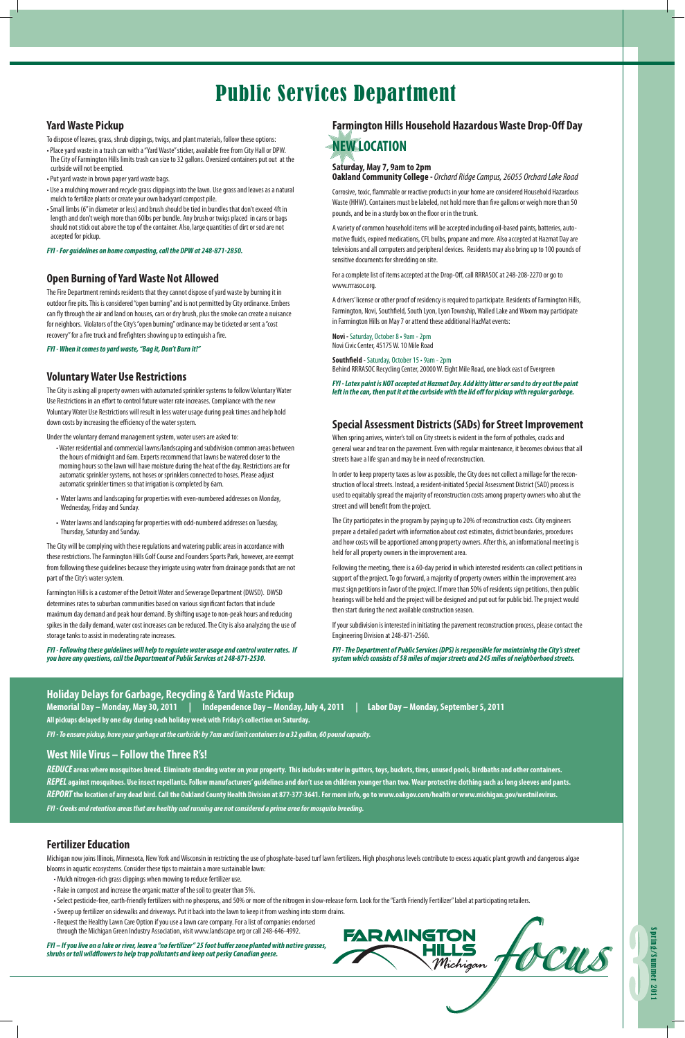

# Public Services Department

#### **Holiday Delays for Garbage, Recycling & Yard Waste Pickup**

**Memorial Day – Monday, May 30, 2011 | Independence Day – Monday, July 4, 2011 | Labor Day – Monday, September 5, 2011 All pickups delayed by one day during each holiday week with Friday's collection on Saturday.**

*FYI - To ensure pickup, have your garbage at the curbside by 7am and limit containers to a 32 gallon, 60 pound capacity.* 

#### **Open Burning of Yard Waste Not Allowed**

The Fire Department reminds residents that they cannot dispose of yard waste by burning it in outdoor fire pits. This is considered "open burning" and is not permitted by City ordinance. Embers can fly through the air and land on houses, cars or dry brush, plus the smoke can create a nuisance for neighbors. Violators of the City's "open burning" ordinance may be ticketed or sent a "cost recovery" for a fire truck and firefighters showing up to extinguish a fire.

*FYI - When it comes to yard waste, "Bag it, Don't Burn it!"*

### **Farmington Hills Household Hazardous Waste Drop-Off Day NEW LOCATION**

**Saturday, May 7, 9am to 2pm** 

**Oakland Community College -** *Orchard Ridge Campus, 26055 Orchard Lake Road*

Corrosive, toxic, flammable or reactive products in your home are considered Household Hazardous Waste (HHW). Containers must be labeled, not hold more than five gallons or weigh more than 50 pounds, and be in a sturdy box on the floor or in the trunk.

A variety of common household items will be accepted including oil-based paints, batteries, automotive fluids, expired medications, CFL bulbs, propane and more. Also accepted at Hazmat Day are televisions and all computers and peripheral devices. Residents may also bring up to 100 pounds of sensitive documents for shredding on site.

For a complete list of items accepted at the Drop-Off, call RRRASOC at 248-208-2270 or go to www.rrrasoc.org.

A drivers' license or other proof of residency is required to participate. Residents of Farmington Hills, Farmington, Novi, Southfield, South Lyon, Lyon Township, Walled Lake and Wixom may participate in Farmington Hills on May 7 or attend these additional HazMat events:

**Novi -** Saturday, October 8 • 9am - 2pm Novi Civic Center, 45175 W. 10 Mile Road

**Southfield -** Saturday, October 15 • 9am - 2pm Behind RRRASOC Recycling Center, 20000 W. Eight Mile Road, one block east of Evergreen

*FYI - Latex paint is NOT accepted at Hazmat Day. Add kitty litter or sand to dry out the paint left in the can, then put it at the curbside with the lid off for pickup with regular garbage.* 

#### **Voluntary Water Use Restrictions**

The City is asking all property owners with automated sprinkler systems to follow Voluntary Water Use Restrictions in an effort to control future water rate increases. Compliance with the new Voluntary Water Use Restrictions will result in less water usage during peak times and help hold down costs by increasing the efficiency of the water system.

Under the voluntary demand management system, water users are asked to:

- Water residential and commercial lawns/landscaping and subdivision common areas between the hours of midnight and 6am. Experts recommend that lawns be watered closer to the morning hours so the lawn will have moisture during the heat of the day. Restrictions are for automatic sprinkler systems, not hoses or sprinklers connected to hoses. Please adjust automatic sprinkler timers so that irrigation is completed by 6am.
- Water lawns and landscaping for properties with even-numbered addresses on Monday, Wednesday, Friday and Sunday.
- Water lawns and landscaping for properties with odd-numbered addresses on Tuesday, Thursday, Saturday and Sunday.

The City will be complying with these regulations and watering public areas in accordance with these restrictions. The Farmington Hills Golf Course and Founders Sports Park, however, are exempt from following these guidelines because they irrigate using water from drainage ponds that are not part of the City's water system.

Farmington Hills is a customer of the Detroit Water and Sewerage Department (DWSD). DWSD determines rates to suburban communities based on various significant factors that include maximum day demand and peak hour demand. By shifting usage to non-peak hours and reducing spikes in the daily demand, water cost increases can be reduced. The City is also analyzing the use of storage tanks to assist in moderating rate increases.

*FYI - Following these guidelines will help to regulate water usage and control water rates. If you have any questions, call the Department of Public Services at 248-871-2530.*

#### **Special Assessment Districts (SADs) for Street Improvement**

When spring arrives, winter's toll on City streets is evident in the form of potholes, cracks and general wear and tear on the pavement. Even with regular maintenance, it becomes obvious that all streets have a life span and may be in need of reconstruction.

In order to keep property taxes as low as possible, the City does not collect a millage for the reconstruction of local streets. Instead, a resident-initiated Special Assessment District (SAD) process is used to equitably spread the majority of reconstruction costs among property owners who abut the street and will benefit from the project.

The City participates in the program by paying up to 20% of reconstruction costs. City engineers prepare a detailed packet with information about cost estimates, district boundaries, procedures and how costs will be apportioned among property owners. After this, an informational meeting is held for all property owners in the improvement area.

Following the meeting, there is a 60-day period in which interested residents can collect petitions in support of the project. To go forward, a majority of property owners within the improvement area must sign petitions in favor of the project. If more than 50% of residents sign petitions, then public hearings will be held and the project will be designed and put out for public bid. The project would then start during the next available construction season.

If your subdivision is interested in initiating the pavement reconstruction process, please contact the Engineering Division at 248-871-2560.

*FYI - The Department of Public Services (DPS) is responsible for maintaining the City's street system which consists of 58 miles of major streets and 245 miles of neighborhood streets.*

#### **Yard Waste Pickup**

To dispose of leaves, grass, shrub clippings, twigs, and plant materials, follow these options:

- Place yard waste in a trash can with a "Yard Waste" sticker, available free from City Hall or DPW. The City of Farmington Hills limits trash can size to 32 gallons. Oversized containers put out at the curbside will not be emptied.
- Put yard waste in brown paper yard waste bags.
- Use a mulching mower and recycle grass clippings into the lawn. Use grass and leaves as a natural mulch to fertilize plants or create your own backyard compost pile.
- Small limbs (6" in diameter or less) and brush should be tied in bundles that don't exceed 4ft in length and don't weigh more than 60lbs per bundle. Any brush or twigs placed in cans or bags should not stick out above the top of the container. Also, large quantities of dirt or sod are not accepted for pickup.

*FYI - For guidelines on home composting, call the DPW at 248-871-2850.*

#### **Fertilizer Education**

Michigan now joins Illinois, Minnesota, New York and Wisconsin in restricting the use of phosphate-based turf lawn fertilizers. High phosphorus levels contribute to excess aquatic plant growth and dangerous algae blooms in aquatic ecosystems. Consider these tips to maintain a more sustainable lawn:

- Mulch nitrogen-rich grass clippings when mowing to reduce fertilizer use.
- Rake in compost and increase the organic matter of the soil to greater than 5%.
- Select pesticide-free, earth-friendly fertilizers with no phosporus, and 50% or more of the nitrogen in slow-release form. Look for the "Earth Friendly Fertilizer" label at participating retailers.
- Sweep up fertilizer on sidewalks and driveways. Put it back into the lawn to keep it from washing into storm drains.
- Request the Healthy Lawn Care Option if you use a lawn care company. For a list of companies endorsed through the Michigan Green Industry Association, visit www.landscape.org or call 248-646-4992.

*FYI – If you live on a lake or river, leave a "no fertilizer" 25 foot buffer zone planted with native grasses, shrubs or tall wildflowers to help trap pollutants and keep out pesky Canadian geese.*

#### **West Nile Virus – Follow the Three R's!**

*REDUCE* **areas where mosquitoes breed. Eliminate standing water on your property. This includes water in gutters, toys, buckets, tires, unused pools, birdbaths and other containers.** *REPEL* **against mosquitoes. Use insect repellants. Follow manufacturers' guidelines and don't use on children younger than two. Wear protective clothing such as long sleeves and pants.** *REPORT* **the location of any dead bird. Call the Oakland County Health Division at 877-377-3641. For more info, go to www.oakgov.com/health or www.michigan.gov/westnilevirus.** 

*FYI - Creeks and retention areas that are healthy and running are not considered a prime area for mosquito breeding.*